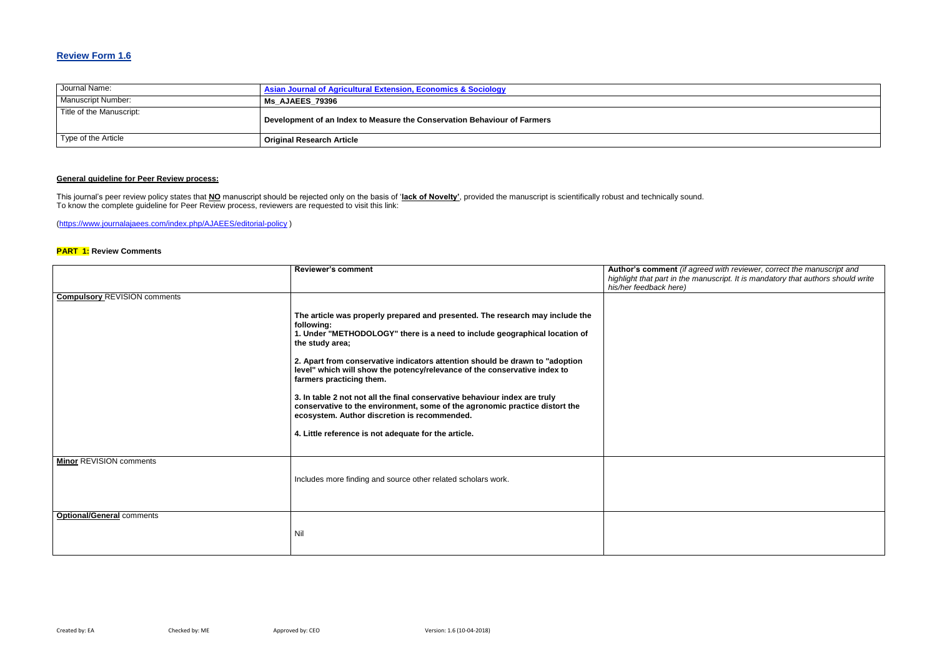### **Review Form 1.6**

| Journal Name:             | <b>Asian Journal of Agricultural Extension, Economics &amp; Sociology</b> |
|---------------------------|---------------------------------------------------------------------------|
| <b>Manuscript Number:</b> | <b>Ms AJAEES 79396</b>                                                    |
| Title of the Manuscript:  | Development of an Index to Measure the Conservation Behaviour of Farmers  |
| Type of the Article       | <b>Original Research Article</b>                                          |

### **General guideline for Peer Review process:**

#### **Red with reviewer, correct the manuscript and** *highlight that part in the manuscript. It is mandatory that authors should write*

This journal's peer review policy states that **NO** manuscript should be rejected only on the basis of '**lack of Novelty'**, provided the manuscript is scientifically robust and technically sound. To know the complete guideline for Peer Review process, reviewers are requested to visit this link:

[\(https://www.journalajaees.com/index.php/AJAEES/editorial-policy](https://www.journalajaees.com/index.php/AJAEES/editorial-policy) )

#### **PART 1: Review Comments**

|                                     | <b>Reviewer's comment</b>                                                                                                                                                                                                                                                                                                                                                                                                                                                                                                                                                                                                                                   | Author's comment (if agree<br>highlight that part in the mar<br>his/her feedback here) |
|-------------------------------------|-------------------------------------------------------------------------------------------------------------------------------------------------------------------------------------------------------------------------------------------------------------------------------------------------------------------------------------------------------------------------------------------------------------------------------------------------------------------------------------------------------------------------------------------------------------------------------------------------------------------------------------------------------------|----------------------------------------------------------------------------------------|
| <b>Compulsory REVISION comments</b> |                                                                                                                                                                                                                                                                                                                                                                                                                                                                                                                                                                                                                                                             |                                                                                        |
|                                     | The article was properly prepared and presented. The research may include the<br>following:<br>1. Under "METHODOLOGY" there is a need to include geographical location of<br>the study area;<br>2. Apart from conservative indicators attention should be drawn to "adoption"<br>level" which will show the potency/relevance of the conservative index to<br>farmers practicing them.<br>3. In table 2 not not all the final conservative behaviour index are truly<br>conservative to the environment, some of the agronomic practice distort the<br>ecosystem. Author discretion is recommended.<br>4. Little reference is not adequate for the article. |                                                                                        |
| <b>Minor REVISION comments</b>      | Includes more finding and source other related scholars work.                                                                                                                                                                                                                                                                                                                                                                                                                                                                                                                                                                                               |                                                                                        |
| <b>Optional/General comments</b>    | Nil                                                                                                                                                                                                                                                                                                                                                                                                                                                                                                                                                                                                                                                         |                                                                                        |